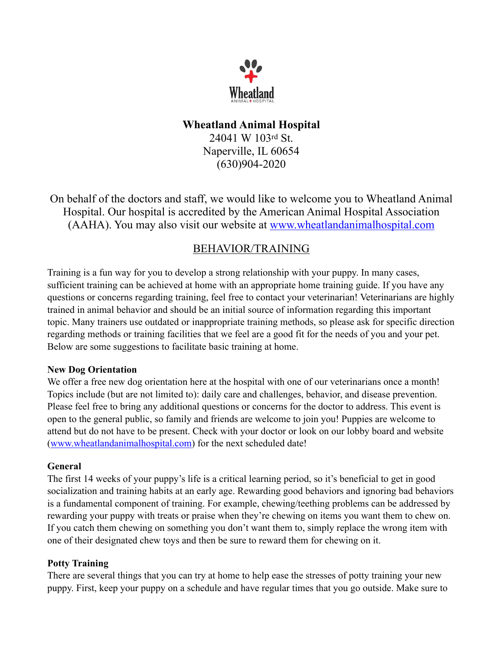

## **Wheatland Animal Hospital**

24041 W 103rd St. Naperville, IL 60654 (630)904-2020

On behalf of the doctors and staff, we would like to welcome you to Wheatland Animal Hospital. Our hospital is accredited by the American Animal Hospital Association (AAHA). You may also visit our website at [www.wheatlandanimalhospital.com](http://www.wheatlandanimalhospital.com/)

# BEHAVIOR/TRAINING

Training is a fun way for you to develop a strong relationship with your puppy. In many cases, sufficient training can be achieved at home with an appropriate home training guide. If you have any questions or concerns regarding training, feel free to contact your veterinarian! Veterinarians are highly trained in animal behavior and should be an initial source of information regarding this important topic. Many trainers use outdated or inappropriate training methods, so please ask for specific direction regarding methods or training facilities that we feel are a good fit for the needs of you and your pet. Below are some suggestions to facilitate basic training at home.

#### **New Dog Orientation**

We offer a free new dog orientation here at the hospital with one of our veterinarians once a month! Topics include (but are not limited to): daily care and challenges, behavior, and disease prevention. Please feel free to bring any additional questions or concerns for the doctor to address. This event is open to the general public, so family and friends are welcome to join you! Puppies are welcome to attend but do not have to be present. Check with your doctor or look on our lobby board and website ([www.wheatlandanimalhospital.com](http://www.wheatlandanimalhospital.com/)) for the next scheduled date!

#### **General**

The first 14 weeks of your puppy's life is a critical learning period, so it's beneficial to get in good socialization and training habits at an early age. Rewarding good behaviors and ignoring bad behaviors is a fundamental component of training. For example, chewing/teething problems can be addressed by rewarding your puppy with treats or praise when they're chewing on items you want them to chew on. If you catch them chewing on something you don't want them to, simply replace the wrong item with one of their designated chew toys and then be sure to reward them for chewing on it.

#### **Potty Training**

There are several things that you can try at home to help ease the stresses of potty training your new puppy. First, keep your puppy on a schedule and have regular times that you go outside. Make sure to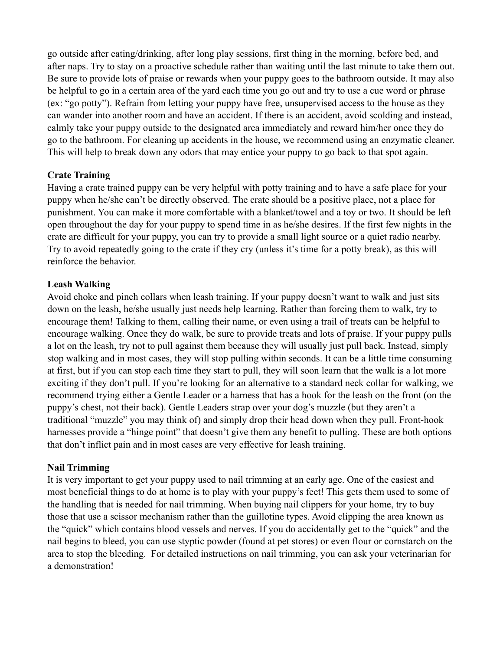go outside after eating/drinking, after long play sessions, first thing in the morning, before bed, and after naps. Try to stay on a proactive schedule rather than waiting until the last minute to take them out. Be sure to provide lots of praise or rewards when your puppy goes to the bathroom outside. It may also be helpful to go in a certain area of the yard each time you go out and try to use a cue word or phrase (ex: "go potty"). Refrain from letting your puppy have free, unsupervised access to the house as they can wander into another room and have an accident. If there is an accident, avoid scolding and instead, calmly take your puppy outside to the designated area immediately and reward him/her once they do go to the bathroom. For cleaning up accidents in the house, we recommend using an enzymatic cleaner. This will help to break down any odors that may entice your puppy to go back to that spot again.

#### **Crate Training**

Having a crate trained puppy can be very helpful with potty training and to have a safe place for your puppy when he/she can't be directly observed. The crate should be a positive place, not a place for punishment. You can make it more comfortable with a blanket/towel and a toy or two. It should be left open throughout the day for your puppy to spend time in as he/she desires. If the first few nights in the crate are difficult for your puppy, you can try to provide a small light source or a quiet radio nearby. Try to avoid repeatedly going to the crate if they cry (unless it's time for a potty break), as this will reinforce the behavior.

#### **Leash Walking**

Avoid choke and pinch collars when leash training. If your puppy doesn't want to walk and just sits down on the leash, he/she usually just needs help learning. Rather than forcing them to walk, try to encourage them! Talking to them, calling their name, or even using a trail of treats can be helpful to encourage walking. Once they do walk, be sure to provide treats and lots of praise. If your puppy pulls a lot on the leash, try not to pull against them because they will usually just pull back. Instead, simply stop walking and in most cases, they will stop pulling within seconds. It can be a little time consuming at first, but if you can stop each time they start to pull, they will soon learn that the walk is a lot more exciting if they don't pull. If you're looking for an alternative to a standard neck collar for walking, we recommend trying either a Gentle Leader or a harness that has a hook for the leash on the front (on the puppy's chest, not their back). Gentle Leaders strap over your dog's muzzle (but they aren't a traditional "muzzle" you may think of) and simply drop their head down when they pull. Front-hook harnesses provide a "hinge point" that doesn't give them any benefit to pulling. These are both options that don't inflict pain and in most cases are very effective for leash training.

#### **Nail Trimming**

It is very important to get your puppy used to nail trimming at an early age. One of the easiest and most beneficial things to do at home is to play with your puppy's feet! This gets them used to some of the handling that is needed for nail trimming. When buying nail clippers for your home, try to buy those that use a scissor mechanism rather than the guillotine types. Avoid clipping the area known as the "quick" which contains blood vessels and nerves. If you do accidentally get to the "quick" and the nail begins to bleed, you can use styptic powder (found at pet stores) or even flour or cornstarch on the area to stop the bleeding. For detailed instructions on nail trimming, you can ask your veterinarian for a demonstration!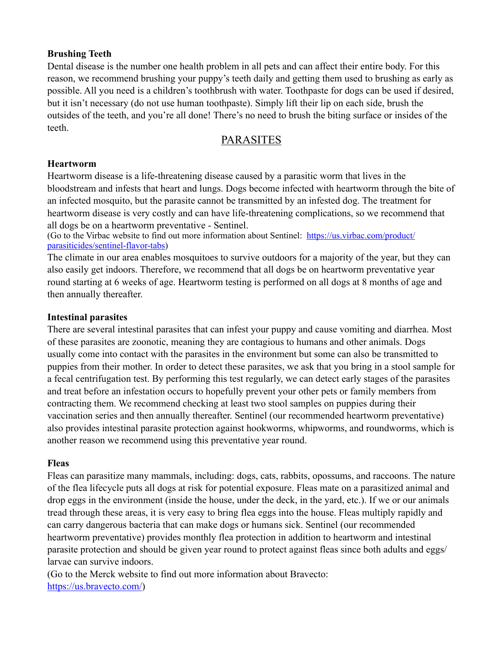#### **Brushing Teeth**

Dental disease is the number one health problem in all pets and can affect their entire body. For this reason, we recommend brushing your puppy's teeth daily and getting them used to brushing as early as possible. All you need is a children's toothbrush with water. Toothpaste for dogs can be used if desired, but it isn't necessary (do not use human toothpaste). Simply lift their lip on each side, brush the outsides of the teeth, and you're all done! There's no need to brush the biting surface or insides of the teeth.

# PARASITES

#### **Heartworm**

Heartworm disease is a life-threatening disease caused by a parasitic worm that lives in the bloodstream and infests that heart and lungs. Dogs become infected with heartworm through the bite of an infected mosquito, but the parasite cannot be transmitted by an infested dog. The treatment for heartworm disease is very costly and can have life-threatening complications, so we recommend that all dogs be on a heartworm preventative - Sentinel.

(Go to the Virbac website to find out more information about Sentinel: [https://us.virbac.com/product/](https://us.virbac.com/product/parasiticides/sentinel-flavor-tabs) [parasiticides/sentinel-flavor-tabs\)](https://us.virbac.com/product/parasiticides/sentinel-flavor-tabs)

The climate in our area enables mosquitoes to survive outdoors for a majority of the year, but they can also easily get indoors. Therefore, we recommend that all dogs be on heartworm preventative year round starting at 6 weeks of age. Heartworm testing is performed on all dogs at 8 months of age and then annually thereafter.

#### **Intestinal parasites**

There are several intestinal parasites that can infest your puppy and cause vomiting and diarrhea. Most of these parasites are zoonotic, meaning they are contagious to humans and other animals. Dogs usually come into contact with the parasites in the environment but some can also be transmitted to puppies from their mother. In order to detect these parasites, we ask that you bring in a stool sample for a fecal centrifugation test. By performing this test regularly, we can detect early stages of the parasites and treat before an infestation occurs to hopefully prevent your other pets or family members from contracting them. We recommend checking at least two stool samples on puppies during their vaccination series and then annually thereafter. Sentinel (our recommended heartworm preventative) also provides intestinal parasite protection against hookworms, whipworms, and roundworms, which is another reason we recommend using this preventative year round.

#### **Fleas**

Fleas can parasitize many mammals, including: dogs, cats, rabbits, opossums, and raccoons. The nature of the flea lifecycle puts all dogs at risk for potential exposure. Fleas mate on a parasitized animal and drop eggs in the environment (inside the house, under the deck, in the yard, etc.). If we or our animals tread through these areas, it is very easy to bring flea eggs into the house. Fleas multiply rapidly and can carry dangerous bacteria that can make dogs or humans sick. Sentinel (our recommended heartworm preventative) provides monthly flea protection in addition to heartworm and intestinal parasite protection and should be given year round to protect against fleas since both adults and eggs/ larvae can survive indoors.

(Go to the Merck website to find out more information about Bravecto: [https://us.bravecto.com/\)](https://us.bravecto.com/)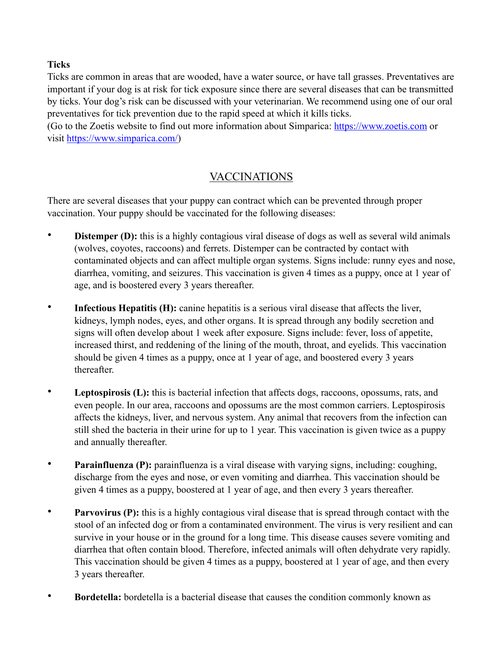### **Ticks**

Ticks are common in areas that are wooded, have a water source, or have tall grasses. Preventatives are important if your dog is at risk for tick exposure since there are several diseases that can be transmitted by ticks. Your dog's risk can be discussed with your veterinarian. We recommend using one of our oral preventatives for tick prevention due to the rapid speed at which it kills ticks.

(Go to the Zoetis website to find out more information about Simparica: [https://www.zoetis.com](https://www.zoetis.com/) or visit<https://www.simparica.com/>)

# VACCINATIONS

There are several diseases that your puppy can contract which can be prevented through proper vaccination. Your puppy should be vaccinated for the following diseases:

- **Distemper (D):** this is a highly contagious viral disease of dogs as well as several wild animals (wolves, coyotes, raccoons) and ferrets. Distemper can be contracted by contact with contaminated objects and can affect multiple organ systems. Signs include: runny eyes and nose, diarrhea, vomiting, and seizures. This vaccination is given 4 times as a puppy, once at 1 year of age, and is boostered every 3 years thereafter.
- **Infectious Hepatitis (H):** canine hepatitis is a serious viral disease that affects the liver, kidneys, lymph nodes, eyes, and other organs. It is spread through any bodily secretion and signs will often develop about 1 week after exposure. Signs include: fever, loss of appetite, increased thirst, and reddening of the lining of the mouth, throat, and eyelids. This vaccination should be given 4 times as a puppy, once at 1 year of age, and boostered every 3 years thereafter.
- **Leptospirosis (L):** this is bacterial infection that affects dogs, raccoons, opossums, rats, and even people. In our area, raccoons and opossums are the most common carriers. Leptospirosis affects the kidneys, liver, and nervous system. Any animal that recovers from the infection can still shed the bacteria in their urine for up to 1 year. This vaccination is given twice as a puppy and annually thereafter.
- **Parainfluenza (P):** parainfluenza is a viral disease with varying signs, including: coughing, discharge from the eyes and nose, or even vomiting and diarrhea. This vaccination should be given 4 times as a puppy, boostered at 1 year of age, and then every 3 years thereafter.
- **Parvovirus (P):** this is a highly contagious viral disease that is spread through contact with the stool of an infected dog or from a contaminated environment. The virus is very resilient and can survive in your house or in the ground for a long time. This disease causes severe vomiting and diarrhea that often contain blood. Therefore, infected animals will often dehydrate very rapidly. This vaccination should be given 4 times as a puppy, boostered at 1 year of age, and then every 3 years thereafter.
- **Bordetella:** bordetella is a bacterial disease that causes the condition commonly known as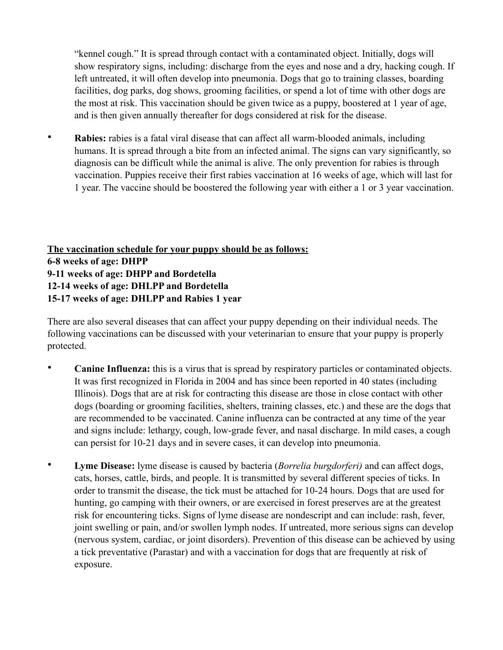"kennel cough." It is spread through contact with a contaminated object. Initially, dogs will show respiratory signs, including: discharge from the eyes and nose and a dry, hacking cough. If left untreated, it will often develop into pneumonia. Dogs that go to training classes, boarding facilities, dog parks, dog shows, grooming facilities, or spend a lot of time with other dogs are the most at risk. This vaccination should be given twice as a puppy, boostered at 1 year of age, and is then given annually thereafter for dogs considered at risk for the disease.

• **Rabies:** rabies is a fatal viral disease that can affect all warm-blooded animals, including humans. It is spread through a bite from an infected animal. The signs can vary significantly, so diagnosis can be difficult while the animal is alive. The only prevention for rabies is through vaccination. Puppies receive their first rabies vaccination at 16 weeks of age, which will last for 1 year. The vaccine should be boostered the following year with either a 1 or 3 year vaccination.

**The vaccination schedule for your puppy should be as follows: 6-8 weeks of age: DHPP 9-11 weeks of age: DHPP and Bordetella 12-14 weeks of age: DHLPP and Bordetella 15-17 weeks of age: DHLPP and Rabies 1 year**

There are also several diseases that can affect your puppy depending on their individual needs. The following vaccinations can be discussed with your veterinarian to ensure that your puppy is properly protected.

- **Canine Influenza:** this is a virus that is spread by respiratory particles or contaminated objects. It was first recognized in Florida in 2004 and has since been reported in 40 states (including Illinois). Dogs that are at risk for contracting this disease are those in close contact with other dogs (boarding or grooming facilities, shelters, training classes, etc.) and these are the dogs that are recommended to be vaccinated. Canine influenza can be contracted at any time of the year and signs include: lethargy, cough, low-grade fever, and nasal discharge. In mild cases, a cough can persist for 10-21 days and in severe cases, it can develop into pneumonia.
- **Lyme Disease:** lyme disease is caused by bacteria (*Borrelia burgdorferi)* and can affect dogs, cats, horses, cattle, birds, and people. It is transmitted by several different species of ticks. In order to transmit the disease, the tick must be attached for 10-24 hours. Dogs that are used for hunting, go camping with their owners, or are exercised in forest preserves are at the greatest risk for encountering ticks. Signs of lyme disease are nondescript and can include: rash, fever, joint swelling or pain, and/or swollen lymph nodes. If untreated, more serious signs can develop (nervous system, cardiac, or joint disorders). Prevention of this disease can be achieved by using a tick preventative (Parastar) and with a vaccination for dogs that are frequently at risk of exposure.